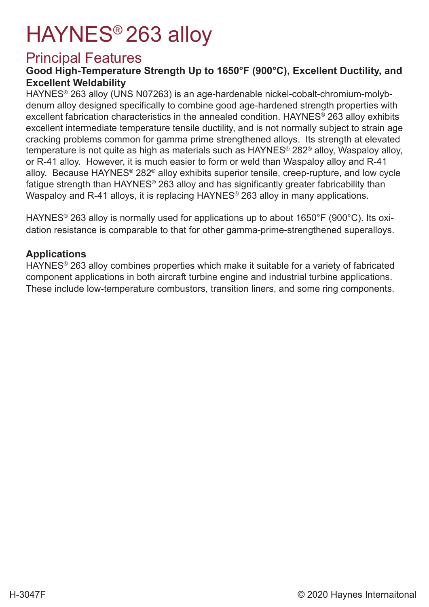# HAYNES® 263 alloy

### Principal Features

#### **Good High-Temperature Strength Up to 1650°F (900°C), Excellent Ductility, and Excellent Weldability**

HAYNES® 263 alloy (UNS N07263) is an age-hardenable nickel-cobalt-chromium-molybdenum alloy designed specifically to combine good age-hardened strength properties with excellent fabrication characteristics in the annealed condition. HAYNES® 263 alloy exhibits excellent intermediate temperature tensile ductility, and is not normally subject to strain age cracking problems common for gamma prime strengthened alloys. Its strength at elevated temperature is not quite as high as materials such as HAYNES® 282® alloy, Waspaloy alloy, or R-41 alloy. However, it is much easier to form or weld than Waspaloy alloy and R-41 alloy. Because HAYNES® 282® alloy exhibits superior tensile, creep-rupture, and low cycle fatigue strength than HAYNES® 263 alloy and has significantly greater fabricability than Waspaloy and R-41 alloys, it is replacing HAYNES® 263 alloy in many applications.

HAYNES® 263 alloy is normally used for applications up to about 1650°F (900°C). Its oxidation resistance is comparable to that for other gamma-prime-strengthened superalloys.

#### **Applications**

HAYNES® 263 alloy combines properties which make it suitable for a variety of fabricated component applications in both aircraft turbine engine and industrial turbine applications. These include low-temperature combustors, transition liners, and some ring components.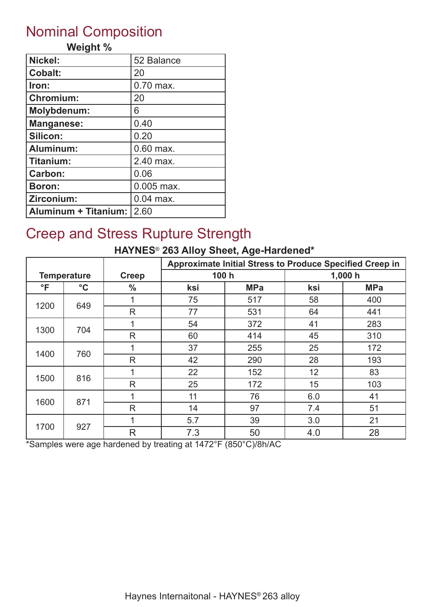# Nominal Composition

#### **Weight %**

| Nickel:                     | 52 Balance  |
|-----------------------------|-------------|
| <b>Cobalt:</b>              | 20          |
| Iron:                       | 0.70 max.   |
| <b>Chromium:</b>            | 20          |
| <b>Molybdenum:</b>          | 6           |
| <b>Manganese:</b>           | 0.40        |
| Silicon:                    | 0.20        |
| Aluminum:                   | $0.60$ max. |
| Titanium:                   | 2.40 max.   |
| Carbon:                     | 0.06        |
| <b>Boron:</b>               | 0.005 max.  |
| Zirconium:                  | $0.04$ max. |
| <b>Aluminum + Titanium:</b> | 2.60        |

# Creep and Stress Rupture Strength

#### **HAYNES**® **263 Alloy Sheet, Age-Hardened\***

|              |                    |               | Approximate Initial Stress to Produce Specified Creep in |            |     |            |
|--------------|--------------------|---------------|----------------------------------------------------------|------------|-----|------------|
|              | <b>Temperature</b> | <b>Creep</b>  | 100 h                                                    |            |     | 1,000h     |
| $\mathsf{P}$ | $\rm ^{\circ}C$    | $\frac{0}{0}$ | ksi                                                      | <b>MPa</b> | ksi | <b>MPa</b> |
| 1200         | 649                |               | 75                                                       | 517        | 58  | 400        |
|              |                    | R             | 77                                                       | 531        | 64  | 441        |
| 1300         | 704                |               | 54                                                       | 372        | 41  | 283        |
|              |                    | $\mathsf{R}$  | 60                                                       | 414        | 45  | 310        |
|              | 760                | 1             | 37                                                       | 255        | 25  | 172        |
| 1400         |                    | $\mathsf{R}$  | 42                                                       | 290        | 28  | 193        |
| 1500         | 816                | 1             | 22                                                       | 152        | 12  | 83         |
|              |                    | R             | 25                                                       | 172        | 15  | 103        |
| 1600         | 871                | 4             | 11                                                       | 76         | 6.0 | 41         |
|              |                    | R             | 14                                                       | 97         | 7.4 | 51         |
|              |                    | 4             | 5.7                                                      | 39         | 3.0 | 21         |
| 1700         | 927                | $\mathsf{R}$  | 7.3                                                      | 50         | 4.0 | 28         |

\*Samples were age hardened by treating at 1472°F (850°C)/8h/AC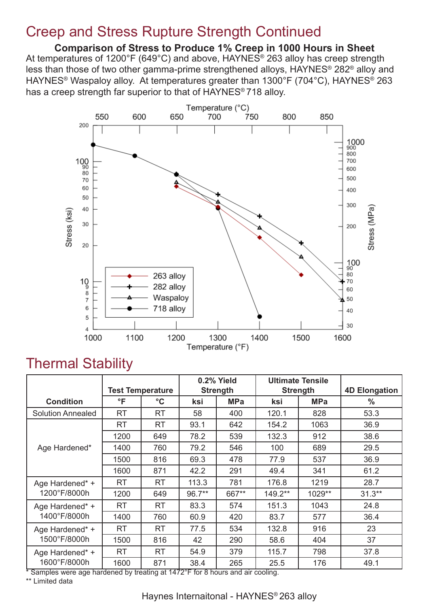### Creep and Stress Rupture Strength Continued

**Comparison of Stress to Produce 1% Creep in 1000 Hours in Sheet** At temperatures of 1200°F (649°C) and above, HAYNES<sup>®</sup> 263 alloy has creep strength less than those of two other gamma-prime strengthened alloys, HAYNES® 282® alloy and HAYNES® Waspaloy alloy. At temperatures greater than 1300°F (704°C), HAYNES® 263 has a creep strength far superior to that of HAYNES® 718 alloy.



### Thermal Stability

|                          | <b>Test Temperature</b> |                 |        | 0.2% Yield<br><b>Strength</b> | <b>Ultimate Tensile</b><br><b>Strength</b> |            | <b>4D Elongation</b> |
|--------------------------|-------------------------|-----------------|--------|-------------------------------|--------------------------------------------|------------|----------------------|
| <b>Condition</b>         | °F                      | $\rm ^{\circ}C$ | ksi    | <b>MPa</b>                    | ksi                                        | <b>MPa</b> | $\frac{0}{0}$        |
| <b>Solution Annealed</b> | <b>RT</b>               | <b>RT</b>       | 58     | 400                           | 120.1                                      | 828        | 53.3                 |
|                          | <b>RT</b>               | <b>RT</b>       | 93.1   | 642                           | 154.2                                      | 1063       | 36.9                 |
|                          | 1200                    | 649             | 78.2   | 539                           | 132.3                                      | 912        | 38.6                 |
| Age Hardened*            | 1400                    | 760             | 79.2   | 546                           | 100                                        | 689        | 29.5                 |
|                          | 1500                    | 816             | 69.3   | 478                           | 77.9                                       | 537        | 36.9                 |
|                          | 1600                    | 871             | 42.2   | 291                           | 49.4                                       | 341        | 61.2                 |
| Age Hardened* +          | <b>RT</b>               | <b>RT</b>       | 113.3  | 781                           | 176.8                                      | 1219       | 28.7                 |
| 1200°F/8000h             | 1200                    | 649             | 96.7** | 667**                         | 149.2**                                    | 1029**     | $31.3**$             |
| Age Hardened* +          | <b>RT</b>               | <b>RT</b>       | 83.3   | 574                           | 151.3                                      | 1043       | 24.8                 |
| 1400°F/8000h             | 1400                    | 760             | 60.9   | 420                           | 83.7                                       | 577        | 36.4                 |
| Age Hardened* +          | <b>RT</b>               | <b>RT</b>       | 77.5   | 534                           | 132.8                                      | 916        | 23                   |
| 1500°F/8000h             | 1500                    | 816             | 42     | 290                           | 58.6                                       | 404        | 37                   |
| Age Hardened* +          | RT                      | <b>RT</b>       | 54.9   | 379                           | 115.7                                      | 798        | 37.8                 |
| 1600°F/8000h<br>≂        | 1600                    | 871             | 38.4   | 265                           | 25.5                                       | 176        | 49.1                 |

\* Samples were age hardened by treating at 1472°F for 8 hours and air cooling.

\*\* Limited data

#### Haynes Internaitonal - HAYNES® 263 alloy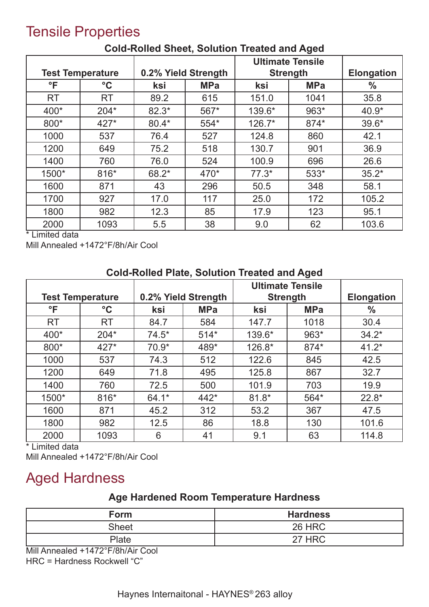# Tensile Properties

|              |                                                |         |            | <b>Ultimate Tensile</b> |                   |               |
|--------------|------------------------------------------------|---------|------------|-------------------------|-------------------|---------------|
|              | 0.2% Yield Strength<br><b>Test Temperature</b> |         |            | <b>Strength</b>         | <b>Elongation</b> |               |
| $\mathsf{P}$ | $\rm ^{\circ}C$                                | ksi     | <b>MPa</b> | ksi                     | <b>MPa</b>        | $\frac{0}{0}$ |
| <b>RT</b>    | <b>RT</b>                                      | 89.2    | 615        | 151.0                   | 1041              | 35.8          |
| 400*         | $204*$                                         | $82.3*$ | 567*       | 139.6*                  | 963*              | $40.9*$       |
| 800*         | $427*$                                         | $80.4*$ | 554*       | $126.7*$                | 874*              | $39.6*$       |
| 1000         | 537                                            | 76.4    | 527        | 124.8                   | 860               | 42.1          |
| 1200         | 649                                            | 75.2    | 518        | 130.7                   | 901               | 36.9          |
| 1400         | 760                                            | 76.0    | 524        | 100.9                   | 696               | 26.6          |
| 1500*        | 816*                                           | 68.2*   | 470*       | $77.3*$                 | 533*              | $35.2*$       |
| 1600         | 871                                            | 43      | 296        | 50.5                    | 348               | 58.1          |
| 1700         | 927                                            | 17.0    | 117        | 25.0                    | 172               | 105.2         |
| 1800         | 982                                            | 12.3    | 85         | 17.9                    | 123               | 95.1          |
| 2000         | 1093                                           | 5.5     | 38         | 9.0                     | 62                | 103.6         |

#### **Cold-Rolled Sheet, Solution Treated and Aged**

\* Limited data

Mill Annealed +1472°F/8h/Air Cool

|                         | <u>oola nolloa malo, oolation moaloa aha Agoa</u> |                     |            |                                            |                   |               |  |  |
|-------------------------|---------------------------------------------------|---------------------|------------|--------------------------------------------|-------------------|---------------|--|--|
| <b>Test Temperature</b> |                                                   | 0.2% Yield Strength |            | <b>Ultimate Tensile</b><br><b>Strength</b> | <b>Elongation</b> |               |  |  |
| $\mathsf{P}$            | $\rm ^{\circ}C$                                   | ksi                 | <b>MPa</b> | ksi                                        | <b>MPa</b>        | $\frac{0}{0}$ |  |  |
| <b>RT</b>               | <b>RT</b>                                         | 84.7                | 584        | 147.7                                      | 1018              | 30.4          |  |  |
| 400*                    | $204*$                                            | $74.5*$             | $514*$     | 139.6*                                     | 963*              | $34.2*$       |  |  |
| 800*                    | $427*$                                            | $70.9*$             | 489*       | 126.8*                                     | 874*              | $41.2*$       |  |  |
| 1000                    | 537                                               | 74.3                | 512        | 122.6                                      | 845               | 42.5          |  |  |
| 1200                    | 649                                               | 71.8                | 495        | 125.8                                      | 867               | 32.7          |  |  |
| 1400                    | 760                                               | 72.5                | 500        | 101.9                                      | 703               | 19.9          |  |  |
| 1500*                   | $816*$                                            | $64.1*$             | 442*       | $81.8*$                                    | 564*              | $22.8*$       |  |  |
| 1600                    | 871                                               | 45.2                | 312        | 53.2                                       | 367               | 47.5          |  |  |
| 1800                    | 982                                               | 12.5                | 86         | 18.8                                       | 130               | 101.6         |  |  |
| 2000                    | 1093                                              | 6                   | 41         | 9.1                                        | 63                | 114.8         |  |  |

#### **Cold-Rolled Plate, Solution Treated and Aged**

\* Limited data

Mill Annealed +1472°F/8h/Air Cool

# Aged Hardness

#### **Age Hardened Room Temperature Hardness**

| Form  | <b>Hardness</b> |
|-------|-----------------|
| Sheet | <b>26 HRC</b>   |
| Plate | 27 HRC          |

Mill Annealed +1472°F/8h/Air Cool

HRC = Hardness Rockwell "C"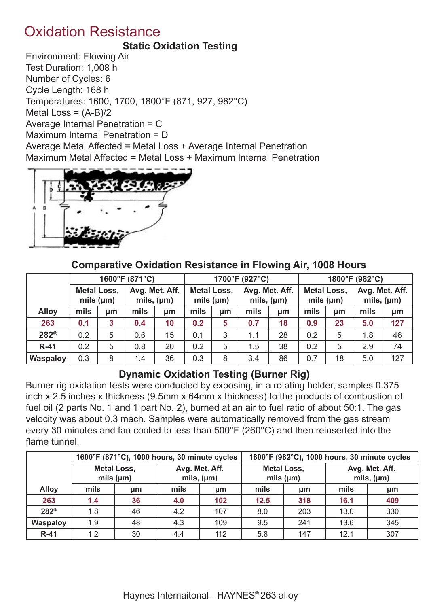### Oxidation Resistance

#### **Static Oxidation Testing**

Environment: Flowing Air Test Duration: 1,008 h Number of Cycles: 6 Cycle Length: 168 h Temperatures: 1600, 1700, 1800°F (871, 927, 982°C) Metal Loss =  $(A-B)/2$ Average Internal Penetration = C Maximum Internal Penetration = D Average Metal Affected = Metal Loss + Average Internal Penetration Maximum Metal Affected = Metal Loss + Maximum Internal Penetration



#### **Comparative Oxidation Resistance in Flowing Air, 1008 Hours**

|                 |                    |                | 1600°F (871°C) |                                   |                    | 1700°F (927°C) |      |                                   |                    | 1800°F (982°C) |                |                 |  |
|-----------------|--------------------|----------------|----------------|-----------------------------------|--------------------|----------------|------|-----------------------------------|--------------------|----------------|----------------|-----------------|--|
|                 | <b>Metal Loss,</b> | mils $(\mu m)$ |                | Avg. Met. Aff.<br>mils, $(\mu m)$ | <b>Metal Loss,</b> | mils $(\mu m)$ |      | Avg. Met. Aff.<br>mils, $(\mu m)$ | <b>Metal Loss,</b> | mils $(\mu m)$ | Avg. Met. Aff. | mils, $(\mu m)$ |  |
| <b>Alloy</b>    | mils               | µm             | mils           | um                                | mils               | µm             | mils | µm                                | mils               | µm             | mils           | µm              |  |
| 263             | 0.1                | 3              | 0.4            | 10                                | 0.2                | 5              | 0.7  | 18                                | 0.9                | 23             | 5.0            | 127             |  |
| $282^\circ$     | 0.2                | 5              | 0.6            | 15                                | 0.1                | 3              | 1.1  | 28                                | 0.2                | 5              | 1.8            | 46              |  |
| $R-41$          | 0.2                | 5              | 0.8            | 20                                | 0.2                | 5              | 1.5  | 38                                | 0.2                | 5              | 2.9            | 74              |  |
| <b>Waspaloy</b> | 0.3                | 8              | 1.4            | 36                                | 0.3                | 8              | 3.4  | 86                                | 0.7                | 18             | 5.0            | 127             |  |

#### **Dynamic Oxidation Testing (Burner Rig)**

Burner rig oxidation tests were conducted by exposing, in a rotating holder, samples 0.375 inch x 2.5 inches x thickness (9.5mm x 64mm x thickness) to the products of combustion of fuel oil (2 parts No. 1 and 1 part No. 2), burned at an air to fuel ratio of about 50:1. The gas velocity was about 0.3 mach. Samples were automatically removed from the gas stream every 30 minutes and fan cooled to less than 500°F (260°C) and then reinserted into the flame tunnel

|                  |      | 1600°F (871°C), 1000 hours, 30 minute cycles |                                   |     |                    | 1800°F (982°C), 1000 hours, 30 minute cycles |      |                                   |  |
|------------------|------|----------------------------------------------|-----------------------------------|-----|--------------------|----------------------------------------------|------|-----------------------------------|--|
|                  |      | <b>Metal Loss,</b><br>mils $(\mu m)$         | Avg. Met. Aff.<br>mils, $(\mu m)$ |     | <b>Metal Loss,</b> | mils $(\mu m)$                               |      | Avg. Met. Aff.<br>mils, $(\mu m)$ |  |
| <b>Alloy</b>     | mils | µm                                           | mils                              | µm  | mils               | µm                                           | mils | μm                                |  |
| 263              | 1.4  | 36                                           | 4.0                               | 102 | 12.5               | 318                                          | 16.1 | 409                               |  |
| 282 <sup>®</sup> | 1.8  | 46                                           | 4.2                               | 107 | 8.0                | 203                                          | 13.0 | 330                               |  |
| <b>Waspaloy</b>  | 1.9  | 48                                           | 4.3                               | 109 | 9.5                | 241                                          | 13.6 | 345                               |  |
| $R-41$           | 1.2  | 30                                           | 4.4                               | 112 | 5.8                | 147                                          | 12.1 | 307                               |  |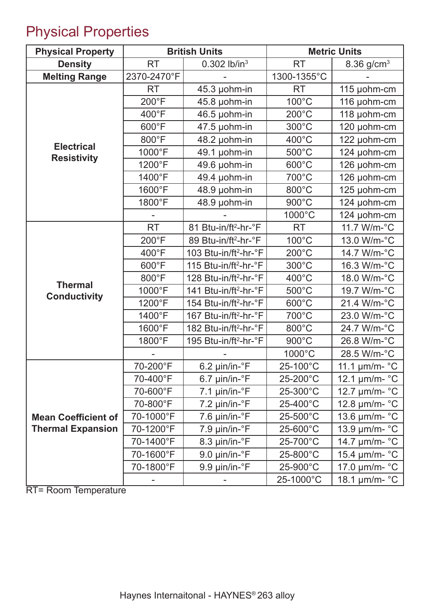# Physical Properties

| <b>Physical Property</b>                |             | <b>British Units</b>              |                 | <b>Metric Units</b>         |
|-----------------------------------------|-------------|-----------------------------------|-----------------|-----------------------------|
| <b>Density</b>                          | <b>RT</b>   | $0.302$ lb/in <sup>3</sup>        | <b>RT</b>       | 8.36 g/cm <sup>3</sup>      |
| <b>Melting Range</b>                    | 2370-2470°F |                                   | 1300-1355°C     |                             |
|                                         | <b>RT</b>   | 45.3 µohm-in                      | <b>RT</b>       | 115 µohm-cm                 |
|                                         | 200°F       | 45.8 µohm-in                      | $100^{\circ}$ C | 116 µohm-cm                 |
|                                         | 400°F       | 46.5 µohm-in                      | $200^{\circ}$ C | 118 µohm-cm                 |
|                                         | 600°F       | 47.5 µohm-in                      | 300°C           | 120 µohm-cm                 |
|                                         | 800°F       | 48.2 µohm-in                      | $400^{\circ}$ C | 122 µohm-cm                 |
| <b>Electrical</b><br><b>Resistivity</b> | 1000°F      | 49.1 µohm-in                      | 500°C           | 124 µohm-cm                 |
|                                         | 1200°F      | 49.6 µohm-in                      | 600°C           | 126 µohm-cm                 |
|                                         | 1400°F      | 49.4 µohm-in                      | 700°C           | 126 µohm-cm                 |
|                                         | 1600°F      | 48.9 µohm-in                      | 800°C           | 125 µohm-cm                 |
|                                         | 1800°F      | 48.9 µohm-in                      | 900°C           | 124 µohm-cm                 |
|                                         |             |                                   | 1000°C          | 124 µohm-cm                 |
|                                         | <b>RT</b>   | 81 Btu-in/ft <sup>2</sup> -hr-°F  | <b>RT</b>       | 11.7 W/m-°C                 |
|                                         | 200°F       | 89 Btu-in/ft <sup>2</sup> -hr-°F  | $100^{\circ}$ C | 13.0 W/m-°C                 |
|                                         | 400°F       | 103 Btu-in/ft <sup>2</sup> -hr-°F | $200^{\circ}$ C | 14.7 W/m-°C                 |
|                                         | 600°F       | 115 Btu-in/ft <sup>2</sup> -hr-°F | $300^{\circ}$ C | 16.3 W/m-°C                 |
|                                         | 800°F       | 128 Btu-in/ft <sup>2</sup> -hr-°F | 400°C           | 18.0 W/m-°C                 |
| <b>Thermal</b><br><b>Conductivity</b>   | 1000°F      | 141 Btu-in/ft <sup>2</sup> -hr-°F | 500°C           | 19.7 W/m-°C                 |
|                                         | 1200°F      | 154 Btu-in/ft <sup>2</sup> -hr-°F | 600°C           | 21.4 W/m-°C                 |
|                                         | 1400°F      | 167 Btu-in/ft <sup>2</sup> -hr-°F | 700°C           | 23.0 W/m-°C                 |
|                                         | 1600°F      | 182 Btu-in/ft <sup>2</sup> -hr-°F | 800°C           | 24.7 W/m-°C                 |
|                                         | 1800°F      | 195 Btu-in/ft <sup>2</sup> -hr-°F | 900°C           | 26.8 W/m-°C                 |
|                                         |             |                                   | 1000°C          | 28.5 W/m-°C                 |
|                                         | 70-200°F    | 6.2 µin/in-°F                     | 25-100°C        | 11.1 $\mu$ m/m- °C          |
|                                         | 70-400°F    | $6.7 \mu$ in/in- $\degree$ F      | 25-200°C        | 12.1 µm/m- °C               |
|                                         | 70-600°F    | $7.1 \mu$ in/in- $\degree$ F      | 25-300°C        | 12.7 $\mu$ m/m- $\degree$ C |
|                                         | 70-800°F    | $7.2 \mu$ in/in- $\degree$ F      | 25-400°C        | 12.8 µm/m- °C               |
| <b>Mean Coefficient of</b>              | 70-1000°F   | $7.6 \mu$ in/in- $\degree$ F      | 25-500°C        | 13.6 µm/m- °C               |
| <b>Thermal Expansion</b>                | 70-1200°F   | 7.9 µin/in-°F                     | 25-600°C        | 13.9 µm/m- °C               |
|                                         | 70-1400°F   | 8.3 µin/in-°F                     | 25-700°C        | 14.7 µm/m- °C               |
|                                         | 70-1600°F   | 9.0 µin/in-°F                     | 25-800°C        | 15.4 µm/m- °C               |
|                                         | 70-1800°F   | 9.9 µin/in-°F                     | 25-900°C        | 17.0 µm/m- °C               |
|                                         |             |                                   | 25-1000°C       | 18.1 µm/m- °C               |

RT= Room Temperature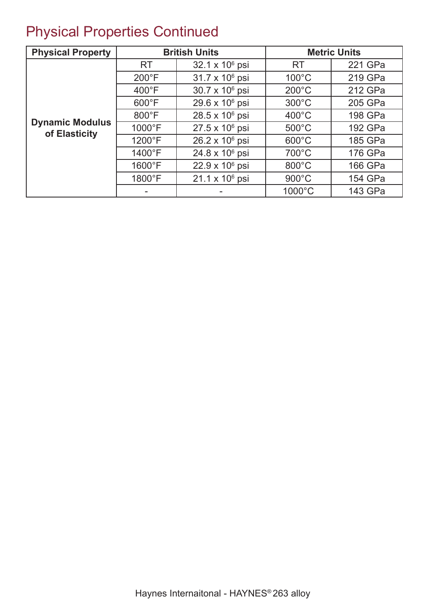# Physical Properties Continued

| <b>Physical Property</b>                |                 | <b>British Units</b>       |                 | <b>Metric Units</b> |
|-----------------------------------------|-----------------|----------------------------|-----------------|---------------------|
|                                         | <b>RT</b>       | 32.1 x 10 <sup>6</sup> psi | <b>RT</b>       | 221 GPa             |
|                                         | $200^{\circ}$ F | $31.7 \times 10^6$ psi     | $100^{\circ}$ C | 219 GPa             |
|                                         | $400^{\circ}$ F | 30.7 x 10 <sup>6</sup> psi | $200^{\circ}$ C | 212 GPa             |
|                                         | $600^{\circ}$ F | 29.6 x 10 <sup>6</sup> psi | $300^{\circ}$ C | 205 GPa             |
|                                         | $800^{\circ}$ F | 28.5 x 10 <sup>6</sup> psi | $400^{\circ}$ C | 198 GPa             |
| <b>Dynamic Modulus</b><br>of Elasticity | 1000°F          | $27.5 \times 10^6$ psi     | $500^{\circ}$ C | 192 GPa             |
|                                         | 1200°F          | $26.2 \times 10^6$ psi     | $600^{\circ}$ C | 185 GPa             |
|                                         | 1400°F          | $24.8 \times 10^6$ psi     | 700°C           | 176 GPa             |
|                                         | $1600^{\circ}F$ | $22.9 \times 10^6$ psi     | $800^{\circ}$ C | 166 GPa             |
|                                         | 1800°F          | $21.1 \times 10^6$ psi     | $900^{\circ}$ C | 154 GPa             |
|                                         |                 |                            | 1000°C          | 143 GPa             |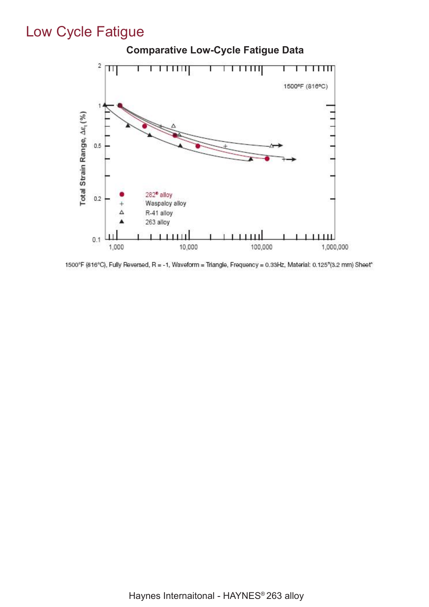# Low Cycle Fatigue



1500°F (816°C), Fully Reversed, R = -1, Waveform = Triangle, Frequency = 0.33Hz, Material: 0.125"(3.2 mm) Sheet\*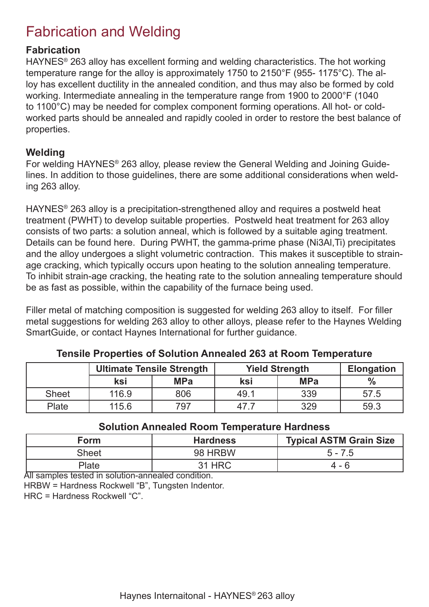# Fabrication and Welding

#### **Fabrication**

HAYNES® 263 alloy has excellent forming and welding characteristics. The hot working temperature range for the alloy is approximately 1750 to 2150°F (955- 1175°C). The alloy has excellent ductility in the annealed condition, and thus may also be formed by cold working. Intermediate annealing in the temperature range from 1900 to 2000°F (1040 to 1100°C) may be needed for complex component forming operations. All hot- or coldworked parts should be annealed and rapidly cooled in order to restore the best balance of properties.

#### **Welding**

For welding HAYNES® 263 alloy, please review the General Welding and Joining Guidelines. In addition to those guidelines, there are some additional considerations when welding 263 alloy.

HAYNES® 263 alloy is a precipitation-strengthened alloy and requires a postweld heat treatment (PWHT) to develop suitable properties. Postweld heat treatment for 263 alloy consists of two parts: a solution anneal, which is followed by a suitable aging treatment. Details can be found here. During PWHT, the gamma-prime phase (Ni3Al,Ti) precipitates and the alloy undergoes a slight volumetric contraction. This makes it susceptible to strainage cracking, which typically occurs upon heating to the solution annealing temperature. To inhibit strain-age cracking, the heating rate to the solution annealing temperature should be as fast as possible, within the capability of the furnace being used.

Filler metal of matching composition is suggested for welding 263 alloy to itself. For filler metal suggestions for welding 263 alloy to other alloys, please refer to the Haynes Welding SmartGuide, or contact Haynes International for further guidance.

|              | <b>Ultimate Tensile Strength</b> |            |      | <b>Yield Strength</b> |               |  |  |
|--------------|----------------------------------|------------|------|-----------------------|---------------|--|--|
|              | ksi                              | <b>MPa</b> | ksi  | <b>MPa</b>            | $\frac{0}{6}$ |  |  |
| <b>Sheet</b> | 116.9                            | 806        | 49.1 | 339                   | 57.5          |  |  |
| Plate        | 115.6                            | 797        | 47   | 329                   | 59.3          |  |  |

#### **Tensile Properties of Solution Annealed 263 at Room Temperature**

#### **Solution Annealed Room Temperature Hardness**

| Form        | <b>Hardness</b> | <b>Typical ASTM Grain Size</b> |
|-------------|-----------------|--------------------------------|
| Sheet       | 98 HRBW         | $5 - 7.5$                      |
| Plate<br>᠇᠇ | 31 HRC<br>.     | 4 - 6                          |

All samples tested in solution-annealed condition. HRBW = Hardness Rockwell "B", Tungsten Indentor. HRC = Hardness Rockwell "C".